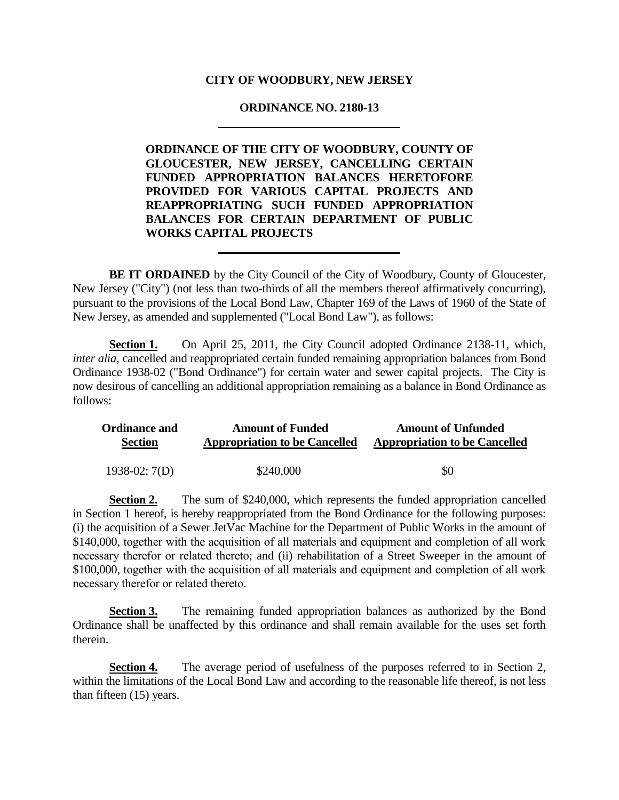## **CITY OF WOODBURY, NEW JERSEY**

# **ORDINANCE NO. 2180-13**

**ORDINANCE OF THE CITY OF WOODBURY, COUNTY OF GLOUCESTER, NEW JERSEY, CANCELLING CERTAIN FUNDED APPROPRIATION BALANCES HERETOFORE PROVIDED FOR VARIOUS CAPITAL PROJECTS AND REAPPROPRIATING SUCH FUNDED APPROPRIATION BALANCES FOR CERTAIN DEPARTMENT OF PUBLIC WORKS CAPITAL PROJECTS**

**BE IT ORDAINED** by the City Council of the City of Woodbury, County of Gloucester, New Jersey ("City") (not less than two-thirds of all the members thereof affirmatively concurring), pursuant to the provisions of the Local Bond Law, Chapter 169 of the Laws of 1960 of the State of New Jersey, as amended and supplemented ("Local Bond Law"), as follows:

**Section 1.** On April 25, 2011, the City Council adopted Ordinance 2138-11, which, *inter alia*, cancelled and reappropriated certain funded remaining appropriation balances from Bond Ordinance 1938-02 ("Bond Ordinance") for certain water and sewer capital projects. The City is now desirous of cancelling an additional appropriation remaining as a balance in Bond Ordinance as follows:

| <b>Ordinance and</b> | <b>Amount of Funded</b>              | <b>Amount of Unfunded</b>            |
|----------------------|--------------------------------------|--------------------------------------|
| <b>Section</b>       | <b>Appropriation to be Cancelled</b> | <b>Appropriation to be Cancelled</b> |
| $1938-02$ ; $7(D)$   | \$240,000                            | \$0                                  |

**Section 2.** The sum of \$240,000, which represents the funded appropriation cancelled in Section 1 hereof, is hereby reappropriated from the Bond Ordinance for the following purposes: (i) the acquisition of a Sewer JetVac Machine for the Department of Public Works in the amount of \$140,000, together with the acquisition of all materials and equipment and completion of all work necessary therefor or related thereto; and (ii) rehabilitation of a Street Sweeper in the amount of \$100,000, together with the acquisition of all materials and equipment and completion of all work necessary therefor or related thereto.

**Section 3.** The remaining funded appropriation balances as authorized by the Bond Ordinance shall be unaffected by this ordinance and shall remain available for the uses set forth therein.

Section 4. The average period of usefulness of the purposes referred to in Section 2, within the limitations of the Local Bond Law and according to the reasonable life thereof, is not less than fifteen (15) years.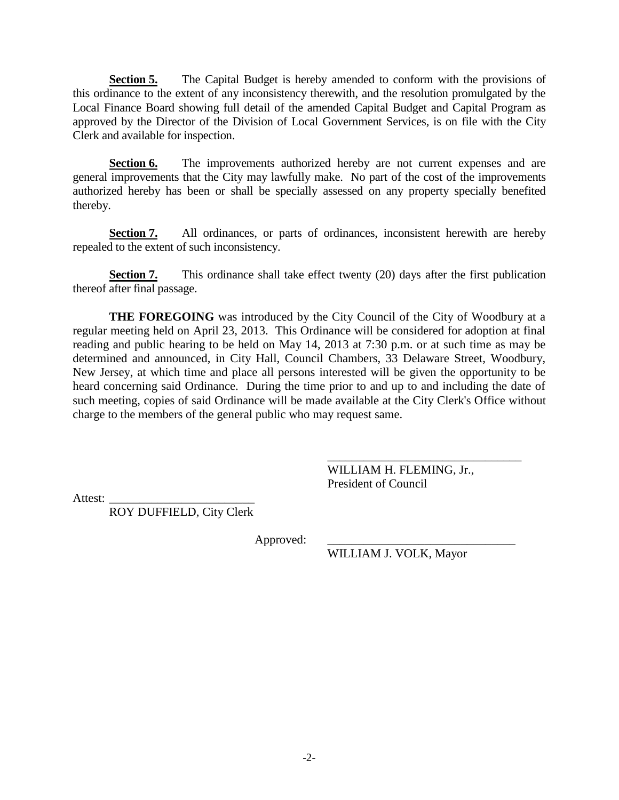**Section 5.** The Capital Budget is hereby amended to conform with the provisions of this ordinance to the extent of any inconsistency therewith, and the resolution promulgated by the Local Finance Board showing full detail of the amended Capital Budget and Capital Program as approved by the Director of the Division of Local Government Services, is on file with the City Clerk and available for inspection.

**Section 6.** The improvements authorized hereby are not current expenses and are general improvements that the City may lawfully make. No part of the cost of the improvements authorized hereby has been or shall be specially assessed on any property specially benefited thereby.

**Section 7.** All ordinances, or parts of ordinances, inconsistent herewith are hereby repealed to the extent of such inconsistency.

**Section 7.** This ordinance shall take effect twenty (20) days after the first publication thereof after final passage.

**THE FOREGOING** was introduced by the City Council of the City of Woodbury at a regular meeting held on April 23, 2013. This Ordinance will be considered for adoption at final reading and public hearing to be held on May 14, 2013 at 7:30 p.m. or at such time as may be determined and announced, in City Hall, Council Chambers, 33 Delaware Street, Woodbury, New Jersey, at which time and place all persons interested will be given the opportunity to be heard concerning said Ordinance. During the time prior to and up to and including the date of such meeting, copies of said Ordinance will be made available at the City Clerk's Office without charge to the members of the general public who may request same.

> WILLIAM H. FLEMING, Jr., President of Council

\_\_\_\_\_\_\_\_\_\_\_\_\_\_\_\_\_\_\_\_\_\_\_\_\_\_\_\_\_\_\_\_

Attest:

ROY DUFFIELD, City Clerk

Approved:

WILLIAM J. VOLK, Mayor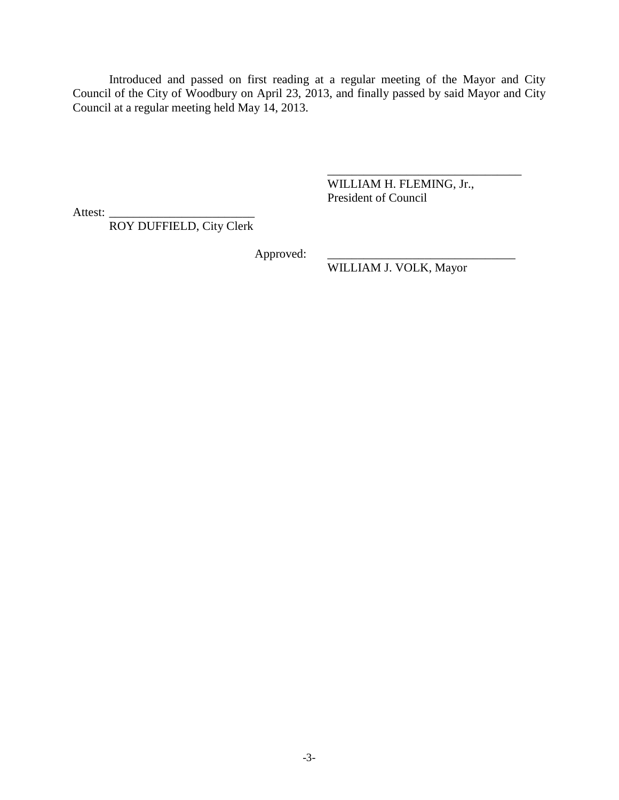Introduced and passed on first reading at a regular meeting of the Mayor and City Council of the City of Woodbury on April 23, 2013, and finally passed by said Mayor and City Council at a regular meeting held May 14, 2013.

> WILLIAM H. FLEMING, Jr., President of Council

\_\_\_\_\_\_\_\_\_\_\_\_\_\_\_\_\_\_\_\_\_\_\_\_\_\_\_\_\_\_\_\_

Attest:

ROY DUFFIELD, City Clerk

Approved:

WILLIAM J. VOLK, Mayor